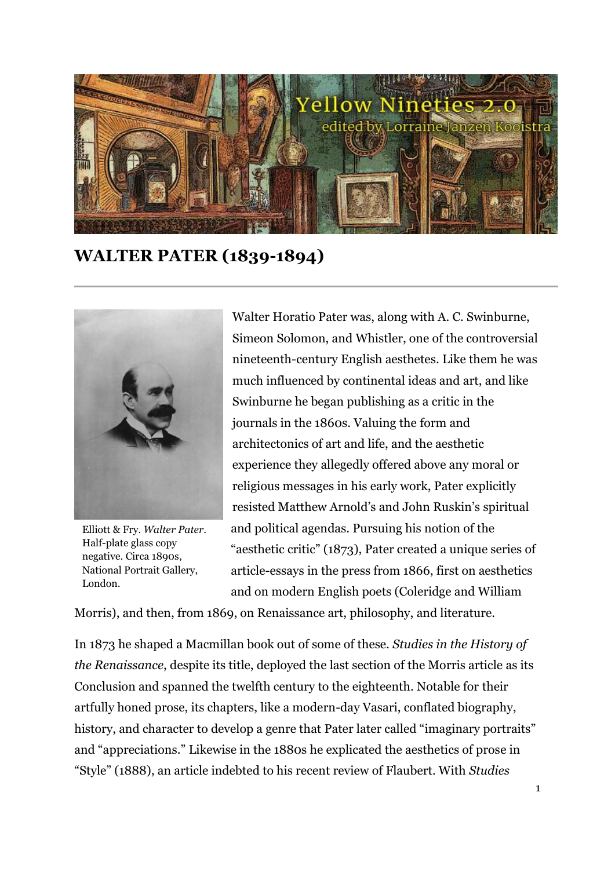

**WALTER PATER (1839-1894)**



Elliott & Fry. *Walter Pater*. Half-plate glass copy negative. Circa 1890s, National Portrait Gallery, London.

Walter Horatio Pater was, along with A. C. Swinburne, Simeon Solomon, and Whistler, one of the controversial nineteenth-century English aesthetes. Like them he was much influenced by continental ideas and art, and like Swinburne he began publishing as a critic in the journals in the 1860s. Valuing the form and architectonics of art and life, and the aesthetic experience they allegedly offered above any moral or religious messages in his early work, Pater explicitly resisted Matthew Arnold's and John Ruskin's spiritual and political agendas. Pursuing his notion of the "aesthetic critic" (1873), Pater created a unique series of article-essays in the press from 1866, first on aesthetics and on modern English poets (Coleridge and William

Morris), and then, from 1869, on Renaissance art, philosophy, and literature.

In 1873 he shaped a Macmillan book out of some of these. *Studies in the History of the Renaissance*, despite its title, deployed the last section of the Morris article as its Conclusion and spanned the twelfth century to the eighteenth. Notable for their artfully honed prose, its chapters, like a modern-day Vasari, conflated biography, history, and character to develop a genre that Pater later called "imaginary portraits" and "appreciations." Likewise in the 1880s he explicated the aesthetics of prose in "Style" (1888), an article indebted to his recent review of Flaubert. With *Studies*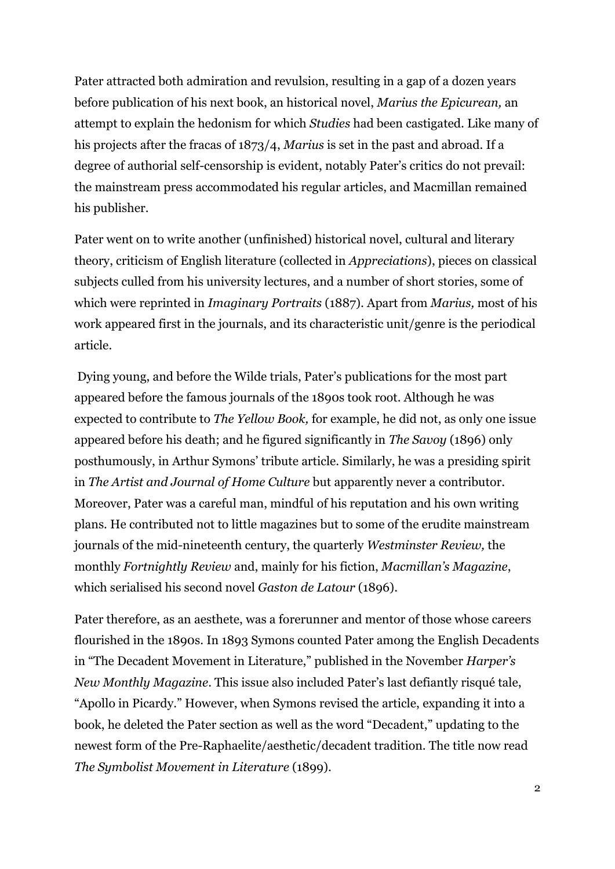Pater attracted both admiration and revulsion, resulting in a gap of a dozen years before publication of his next book, an historical novel, *Marius the Epicurean,* an attempt to explain the hedonism for which *Studies* had been castigated*.* Like many of his projects after the fracas of 1873/4, *Marius* is set in the past and abroad. If a degree of authorial self-censorship is evident, notably Pater's critics do not prevail: the mainstream press accommodated his regular articles, and Macmillan remained his publisher.

Pater went on to write another (unfinished) historical novel, cultural and literary theory, criticism of English literature (collected in *Appreciations*), pieces on classical subjects culled from his university lectures, and a number of short stories, some of which were reprinted in *Imaginary Portraits* (1887)*.* Apart from *Marius,* most of his work appeared first in the journals, and its characteristic unit/genre is the periodical article.

Dying young, and before the Wilde trials, Pater's publications for the most part appeared before the famous journals of the 1890s took root. Although he was expected to contribute to *The Yellow Book,* for example, he did not, as only one issue appeared before his death; and he figured significantly in *The Savoy* (1896) only posthumously, in Arthur Symons' tribute article. Similarly, he was a presiding spirit in *The Artist and Journal of Home Culture* but apparently never a contributor. Moreover, Pater was a careful man, mindful of his reputation and his own writing plans. He contributed not to little magazines but to some of the erudite mainstream journals of the mid-nineteenth century, the quarterly *Westminster Review,* the monthly *Fortnightly Review* and, mainly for his fiction, *Macmillan's Magazine*, which serialised his second novel *Gaston de Latour* (1896).

Pater therefore, as an aesthete, was a forerunner and mentor of those whose careers flourished in the 1890s. In 1893 Symons counted Pater among the English Decadents in "The Decadent Movement in Literature," published in the November *Harper's New Monthly Magazine*. This issue also included Pater's last defiantly risqué tale, "Apollo in Picardy." However, when Symons revised the article, expanding it into a book, he deleted the Pater section as well as the word "Decadent," updating to the newest form of the Pre-Raphaelite/aesthetic/decadent tradition. The title now read *The Symbolist Movement in Literature* (1899).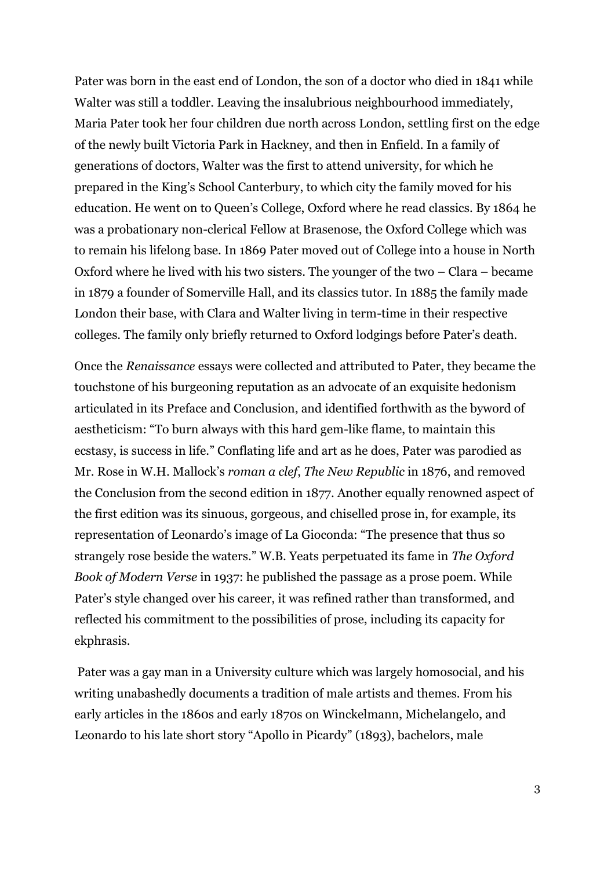Pater was born in the east end of London, the son of a doctor who died in 1841 while Walter was still a toddler. Leaving the insalubrious neighbourhood immediately, Maria Pater took her four children due north across London, settling first on the edge of the newly built Victoria Park in Hackney, and then in Enfield. In a family of generations of doctors, Walter was the first to attend university, for which he prepared in the King's School Canterbury, to which city the family moved for his education. He went on to Queen's College, Oxford where he read classics. By 1864 he was a probationary non-clerical Fellow at Brasenose, the Oxford College which was to remain his lifelong base. In 1869 Pater moved out of College into a house in North Oxford where he lived with his two sisters. The younger of the two – Clara – became in 1879 a founder of Somerville Hall, and its classics tutor. In 1885 the family made London their base, with Clara and Walter living in term-time in their respective colleges. The family only briefly returned to Oxford lodgings before Pater's death.

Once the *Renaissance* essays were collected and attributed to Pater, they became the touchstone of his burgeoning reputation as an advocate of an exquisite hedonism articulated in its Preface and Conclusion, and identified forthwith as the byword of aestheticism: "To burn always with this hard gem-like flame, to maintain this ecstasy, is success in life." Conflating life and art as he does, Pater was parodied as Mr. Rose in W.H. Mallock's *roman a clef*, *The New Republic* in 1876, and removed the Conclusion from the second edition in 1877. Another equally renowned aspect of the first edition was its sinuous, gorgeous, and chiselled prose in, for example, its representation of Leonardo's image of La Gioconda: "The presence that thus so strangely rose beside the waters." W.B. Yeats perpetuated its fame in *The Oxford Book of Modern Verse* in 1937: he published the passage as a prose poem. While Pater's style changed over his career, it was refined rather than transformed, and reflected his commitment to the possibilities of prose, including its capacity for ekphrasis.

Pater was a gay man in a University culture which was largely homosocial, and his writing unabashedly documents a tradition of male artists and themes. From his early articles in the 1860s and early 1870s on Winckelmann, Michelangelo, and Leonardo to his late short story "Apollo in Picardy" (1893), bachelors, male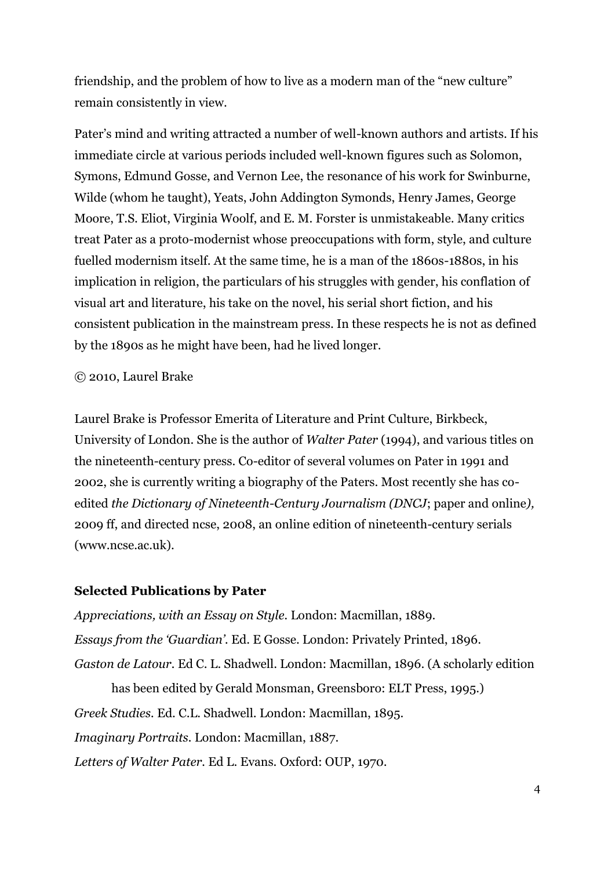friendship, and the problem of how to live as a modern man of the "new culture" remain consistently in view.

Pater's mind and writing attracted a number of well-known authors and artists. If his immediate circle at various periods included well-known figures such as Solomon, Symons, Edmund Gosse, and Vernon Lee, the resonance of his work for Swinburne, Wilde (whom he taught), Yeats, John Addington Symonds, Henry James, George Moore, T.S. Eliot, Virginia Woolf, and E. M. Forster is unmistakeable. Many critics treat Pater as a proto-modernist whose preoccupations with form, style, and culture fuelled modernism itself. At the same time, he is a man of the 1860s-1880s, in his implication in religion, the particulars of his struggles with gender, his conflation of visual art and literature, his take on the novel, his serial short fiction, and his consistent publication in the mainstream press. In these respects he is not as defined by the 1890s as he might have been, had he lived longer.

## © 2010, Laurel Brake

Laurel Brake is Professor Emerita of Literature and Print Culture, Birkbeck, University of London. She is the author of *Walter Pater* (1994), and various titles on the nineteenth-century press. Co-editor of several volumes on Pater in 1991 and 2002, she is currently writing a biography of the Paters. Most recently she has coedited *the Dictionary of Nineteenth-Century Journalism (DNCJ*; paper and online*),*  2009 ff, and directed ncse, 2008, an online edition of nineteenth-century serials (www.ncse.ac.uk).

## **Selected Publications by Pater**

*Appreciations, with an Essay on Style.* London: Macmillan, 1889. *Essays from the 'Guardian'.* Ed. E Gosse. London: Privately Printed, 1896. *Gaston de Latour.* Ed C. L. Shadwell. London: Macmillan, 1896. (A scholarly edition has been edited by Gerald Monsman, Greensboro: ELT Press, 1995.) *Greek Studies.* Ed. C.L. Shadwell. London: Macmillan, 1895. *Imaginary Portraits.* London: Macmillan, 1887. *Letters of Walter Pater.* Ed L. Evans. Oxford: OUP, 1970.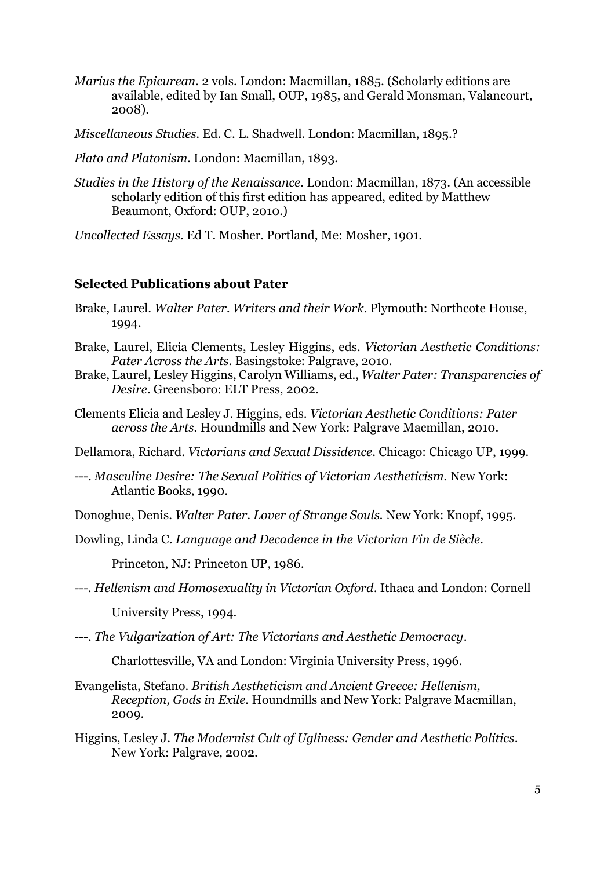- *Marius the Epicurean.* 2 vols. London: Macmillan, 1885. (Scholarly editions are available, edited by Ian Small, OUP, 1985, and Gerald Monsman, Valancourt, 2008).
- *Miscellaneous Studies.* Ed. C. L. Shadwell. London: Macmillan, 1895.?
- *Plato and Platonism.* London: Macmillan, 1893.
- *Studies in the History of the Renaissance.* London: Macmillan, 1873. (An accessible scholarly edition of this first edition has appeared, edited by Matthew Beaumont, Oxford: OUP, 2010.)

*Uncollected Essays.* Ed T. Mosher. Portland, Me: Mosher, 1901.

## **Selected Publications about Pater**

- Brake, Laurel. *Walter Pater. Writers and their Work*. Plymouth: Northcote House, 1994.
- Brake, Laurel, Elicia Clements, Lesley Higgins, eds. *Victorian Aesthetic Conditions: Pater Across the Arts.* Basingstoke: Palgrave, 2010.
- Brake, Laurel, Lesley Higgins, Carolyn Williams, ed., *Walter Pater: Transparencies of Desire*. Greensboro: ELT Press, 2002.
- Clements Elicia and Lesley J. Higgins, eds. *Victorian Aesthetic Conditions: Pater across the Arts.* Houndmills and New York: Palgrave Macmillan, 2010.
- Dellamora, Richard. *Victorians and Sexual Dissidence*. Chicago: Chicago UP, 1999.
- ---. *Masculine Desire: The Sexual Politics of Victorian Aestheticism.* New York: Atlantic Books, 1990.

Donoghue, Denis. *Walter Pater. Lover of Strange Souls.* New York: Knopf, 1995.

Dowling, Linda C. *Language and Decadence in the Victorian Fin de Siècle.* 

Princeton, NJ: Princeton UP, 1986*.*

- *---. Hellenism and Homosexuality in Victorian Oxford*. Ithaca and London: Cornell University Press, 1994.
- ---. *The Vulgarization of Art: The Victorians and Aesthetic Democracy*.

Charlottesville, VA and London: Virginia University Press, 1996.

- Evangelista, Stefano. *British Aestheticism and Ancient Greece: Hellenism, Reception, Gods in Exile.* Houndmills and New York: Palgrave Macmillan, 2009.
- Higgins, Lesley J. *The Modernist Cult of Ugliness: Gender and Aesthetic Politics*. New York: Palgrave, 2002.